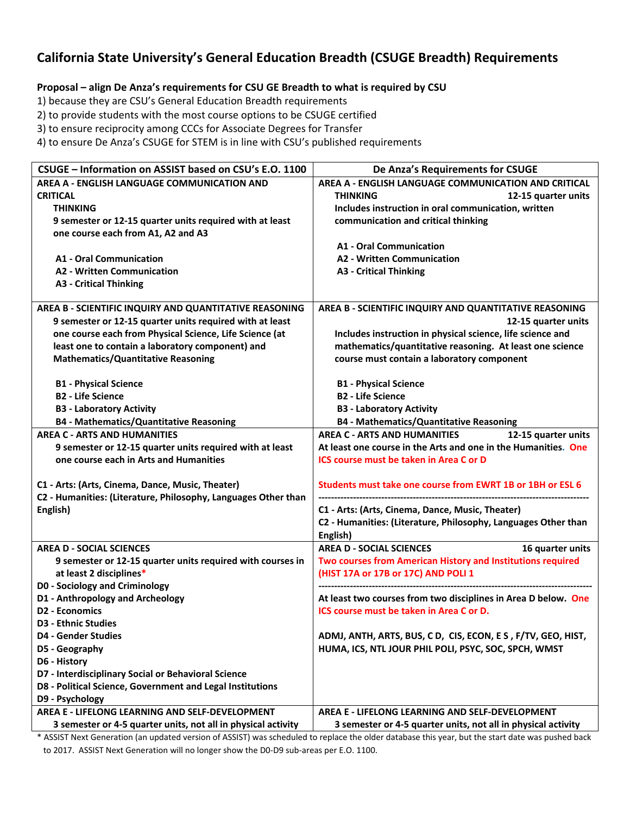## **California State University's General Education Breadth (CSUGE Breadth) Requirements**

## **Proposal – align De Anza's requirements for CSU GE Breadth to what is required by CSU**

1) because they are CSU's General Education Breadth requirements

2) to provide students with the most course options to be CSUGE certified

3) to ensure reciprocity among CCCs for Associate Degrees for Transfer

4) to ensure De Anza's CSUGE for STEM is in line with CSU's published requirements

| CSUGE - Information on ASSIST based on CSU's E.O. 1100                                | De Anza's Requirements for CSUGE                                                                   |
|---------------------------------------------------------------------------------------|----------------------------------------------------------------------------------------------------|
| AREA A - ENGLISH LANGUAGE COMMUNICATION AND                                           | AREA A - ENGLISH LANGUAGE COMMUNICATION AND CRITICAL                                               |
| <b>CRITICAL</b>                                                                       | <b>THINKING</b><br>12-15 quarter units                                                             |
| <b>THINKING</b>                                                                       | Includes instruction in oral communication, written                                                |
| 9 semester or 12-15 quarter units required with at least                              | communication and critical thinking                                                                |
| one course each from A1, A2 and A3                                                    |                                                                                                    |
|                                                                                       | <b>A1 - Oral Communication</b>                                                                     |
| <b>A1 - Oral Communication</b>                                                        | <b>A2 - Written Communication</b>                                                                  |
| <b>A2 - Written Communication</b>                                                     | <b>A3 - Critical Thinking</b>                                                                      |
| <b>A3 - Critical Thinking</b>                                                         |                                                                                                    |
|                                                                                       |                                                                                                    |
| AREA B - SCIENTIFIC INQUIRY AND QUANTITATIVE REASONING                                | AREA B - SCIENTIFIC INQUIRY AND QUANTITATIVE REASONING                                             |
| 9 semester or 12-15 quarter units required with at least                              | 12-15 quarter units                                                                                |
| one course each from Physical Science, Life Science (at                               | Includes instruction in physical science, life science and                                         |
| least one to contain a laboratory component) and                                      | mathematics/quantitative reasoning. At least one science                                           |
| <b>Mathematics/Quantitative Reasoning</b>                                             | course must contain a laboratory component                                                         |
|                                                                                       |                                                                                                    |
| <b>B1 - Physical Science</b>                                                          | <b>B1 - Physical Science</b>                                                                       |
| <b>B2 - Life Science</b>                                                              | <b>B2 - Life Science</b>                                                                           |
| <b>B3 - Laboratory Activity</b>                                                       | <b>B3 - Laboratory Activity</b>                                                                    |
| <b>B4 - Mathematics/Quantitative Reasoning</b>                                        | <b>B4 - Mathematics/Quantitative Reasoning</b>                                                     |
| <b>AREA C - ARTS AND HUMANITIES</b>                                                   | <b>AREA C - ARTS AND HUMANITIES</b><br>12-15 quarter units                                         |
| 9 semester or 12-15 quarter units required with at least                              | At least one course in the Arts and one in the Humanities. One                                     |
| one course each in Arts and Humanities                                                | <b>ICS course must be taken in Area C or D</b>                                                     |
|                                                                                       |                                                                                                    |
| C1 - Arts: (Arts, Cinema, Dance, Music, Theater)                                      | Students must take one course from EWRT 1B or 1BH or ESL 6                                         |
| C2 - Humanities: (Literature, Philosophy, Languages Other than                        |                                                                                                    |
| English)                                                                              | C1 - Arts: (Arts, Cinema, Dance, Music, Theater)                                                   |
|                                                                                       | C2 - Humanities: (Literature, Philosophy, Languages Other than                                     |
| <b>AREA D - SOCIAL SCIENCES</b>                                                       | English)<br><b>AREA D - SOCIAL SCIENCES</b><br>16 quarter units                                    |
|                                                                                       |                                                                                                    |
| 9 semester or 12-15 quarter units required with courses in<br>at least 2 disciplines* | Two courses from American History and Institutions required<br>(HIST 17A or 17B or 17C) AND POLI 1 |
| D0 - Sociology and Criminology                                                        |                                                                                                    |
| D1 - Anthropology and Archeology                                                      | At least two courses from two disciplines in Area D below. One                                     |
| D2 - Economics                                                                        | ICS course must be taken in Area C or D.                                                           |
| <b>D3 - Ethnic Studies</b>                                                            |                                                                                                    |
| <b>D4 - Gender Studies</b>                                                            | ADMJ, ANTH, ARTS, BUS, C D, CIS, ECON, E S, F/TV, GEO, HIST,                                       |
|                                                                                       | HUMA, ICS, NTL JOUR PHIL POLI, PSYC, SOC, SPCH, WMST                                               |
| D5 - Geography<br>D6 - History                                                        |                                                                                                    |
| D7 - Interdisciplinary Social or Behavioral Science                                   |                                                                                                    |
| D8 - Political Science, Government and Legal Institutions                             |                                                                                                    |
| D9 - Psychology                                                                       |                                                                                                    |
| AREA E - LIFELONG LEARNING AND SELF-DEVELOPMENT                                       | AREA E - LIFELONG LEARNING AND SELF-DEVELOPMENT                                                    |
| 3 semester or 4-5 quarter units, not all in physical activity                         | 3 semester or 4-5 quarter units, not all in physical activity                                      |
|                                                                                       |                                                                                                    |

\* ASSIST Next Generation (an updated version of ASSIST) was scheduled to replace the older database this year, but the start date was pushed back to 2017. ASSIST Next Generation will no longer show the D0‐D9 sub‐areas per E.O. 1100.